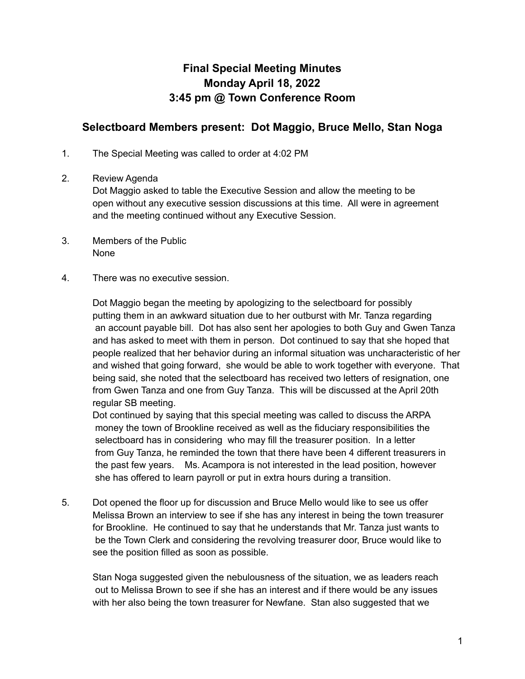## **Final Special Meeting Minutes Monday April 18, 2022 3:45 pm @ Town Conference Room**

## **Selectboard Members present: Dot Maggio, Bruce Mello, Stan Noga**

- 1. The Special Meeting was called to order at 4:02 PM
- 2. Review Agenda

Dot Maggio asked to table the Executive Session and allow the meeting to be open without any executive session discussions at this time. All were in agreement and the meeting continued without any Executive Session.

- 3. Members of the Public None
- 4. There was no executive session.

Dot Maggio began the meeting by apologizing to the selectboard for possibly putting them in an awkward situation due to her outburst with Mr. Tanza regarding an account payable bill. Dot has also sent her apologies to both Guy and Gwen Tanza and has asked to meet with them in person. Dot continued to say that she hoped that people realized that her behavior during an informal situation was uncharacteristic of her and wished that going forward, she would be able to work together with everyone. That being said, she noted that the selectboard has received two letters of resignation, one from Gwen Tanza and one from Guy Tanza. This will be discussed at the April 20th regular SB meeting.

Dot continued by saying that this special meeting was called to discuss the ARPA money the town of Brookline received as well as the fiduciary responsibilities the selectboard has in considering who may fill the treasurer position. In a letter from Guy Tanza, he reminded the town that there have been 4 different treasurers in the past few years. Ms. Acampora is not interested in the lead position, however she has offered to learn payroll or put in extra hours during a transition.

5. Dot opened the floor up for discussion and Bruce Mello would like to see us offer Melissa Brown an interview to see if she has any interest in being the town treasurer for Brookline. He continued to say that he understands that Mr. Tanza just wants to be the Town Clerk and considering the revolving treasurer door, Bruce would like to see the position filled as soon as possible.

Stan Noga suggested given the nebulousness of the situation, we as leaders reach out to Melissa Brown to see if she has an interest and if there would be any issues with her also being the town treasurer for Newfane. Stan also suggested that we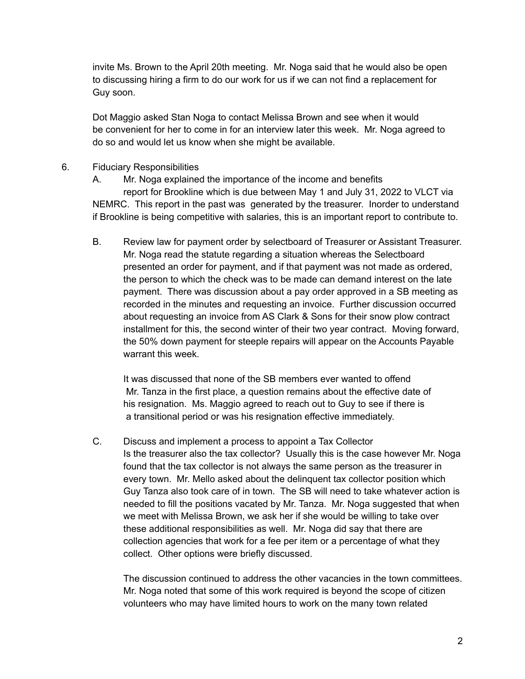invite Ms. Brown to the April 20th meeting. Mr. Noga said that he would also be open to discussing hiring a firm to do our work for us if we can not find a replacement for Guy soon.

Dot Maggio asked Stan Noga to contact Melissa Brown and see when it would be convenient for her to come in for an interview later this week. Mr. Noga agreed to do so and would let us know when she might be available.

- 6. Fiduciary Responsibilities
	- A. Mr. Noga explained the importance of the income and benefits report for Brookline which is due between May 1 and July 31, 2022 to VLCT via NEMRC. This report in the past was generated by the treasurer. Inorder to understand if Brookline is being competitive with salaries, this is an important report to contribute to.
	- B. Review law for payment order by selectboard of Treasurer or Assistant Treasurer. Mr. Noga read the statute regarding a situation whereas the Selectboard presented an order for payment, and if that payment was not made as ordered, the person to which the check was to be made can demand interest on the late payment. There was discussion about a pay order approved in a SB meeting as recorded in the minutes and requesting an invoice. Further discussion occurred about requesting an invoice from AS Clark & Sons for their snow plow contract installment for this, the second winter of their two year contract. Moving forward, the 50% down payment for steeple repairs will appear on the Accounts Payable warrant this week.

It was discussed that none of the SB members ever wanted to offend Mr. Tanza in the first place, a question remains about the effective date of his resignation. Ms. Maggio agreed to reach out to Guy to see if there is a transitional period or was his resignation effective immediately.

C. Discuss and implement a process to appoint a Tax Collector Is the treasurer also the tax collector? Usually this is the case however Mr. Noga found that the tax collector is not always the same person as the treasurer in every town. Mr. Mello asked about the delinquent tax collector position which Guy Tanza also took care of in town. The SB will need to take whatever action is needed to fill the positions vacated by Mr. Tanza. Mr. Noga suggested that when we meet with Melissa Brown, we ask her if she would be willing to take over these additional responsibilities as well. Mr. Noga did say that there are collection agencies that work for a fee per item or a percentage of what they collect. Other options were briefly discussed.

The discussion continued to address the other vacancies in the town committees. Mr. Noga noted that some of this work required is beyond the scope of citizen volunteers who may have limited hours to work on the many town related